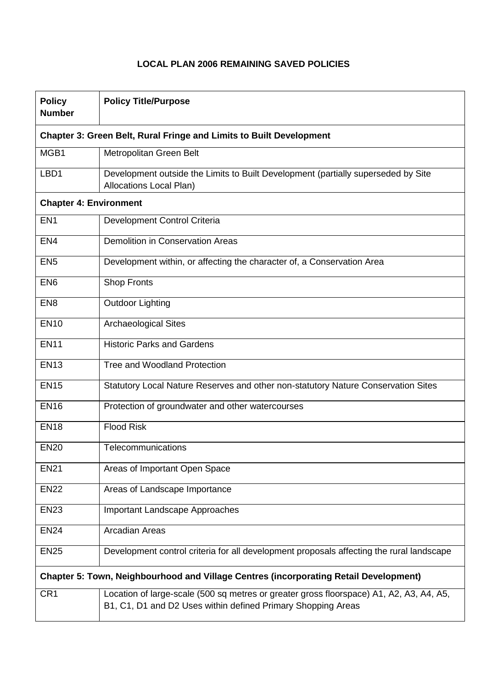## **LOCAL PLAN 2006 REMAINING SAVED POLICIES**

| <b>Policy</b><br><b>Number</b>                                                        | <b>Policy Title/Purpose</b>                                                                                                                             |  |
|---------------------------------------------------------------------------------------|---------------------------------------------------------------------------------------------------------------------------------------------------------|--|
| <b>Chapter 3: Green Belt, Rural Fringe and Limits to Built Development</b>            |                                                                                                                                                         |  |
| MGB1                                                                                  | Metropolitan Green Belt                                                                                                                                 |  |
| LBD1                                                                                  | Development outside the Limits to Built Development (partially superseded by Site<br><b>Allocations Local Plan)</b>                                     |  |
| <b>Chapter 4: Environment</b>                                                         |                                                                                                                                                         |  |
| EN <sub>1</sub>                                                                       | Development Control Criteria                                                                                                                            |  |
| EN <sub>4</sub>                                                                       | <b>Demolition in Conservation Areas</b>                                                                                                                 |  |
| EN <sub>5</sub>                                                                       | Development within, or affecting the character of, a Conservation Area                                                                                  |  |
| EN <sub>6</sub>                                                                       | <b>Shop Fronts</b>                                                                                                                                      |  |
| EN <sub>8</sub>                                                                       | <b>Outdoor Lighting</b>                                                                                                                                 |  |
| <b>EN10</b>                                                                           | <b>Archaeological Sites</b>                                                                                                                             |  |
| <b>EN11</b>                                                                           | <b>Historic Parks and Gardens</b>                                                                                                                       |  |
| <b>EN13</b>                                                                           | Tree and Woodland Protection                                                                                                                            |  |
| <b>EN15</b>                                                                           | Statutory Local Nature Reserves and other non-statutory Nature Conservation Sites                                                                       |  |
| <b>EN16</b>                                                                           | Protection of groundwater and other watercourses                                                                                                        |  |
| <b>EN18</b>                                                                           | <b>Flood Risk</b>                                                                                                                                       |  |
| <b>EN20</b>                                                                           | Telecommunications                                                                                                                                      |  |
| <b>EN21</b>                                                                           | Areas of Important Open Space                                                                                                                           |  |
| <b>EN22</b>                                                                           | Areas of Landscape Importance                                                                                                                           |  |
| <b>EN23</b>                                                                           | <b>Important Landscape Approaches</b>                                                                                                                   |  |
| <b>EN24</b>                                                                           | <b>Arcadian Areas</b>                                                                                                                                   |  |
| <b>EN25</b>                                                                           | Development control criteria for all development proposals affecting the rural landscape                                                                |  |
| Chapter 5: Town, Neighbourhood and Village Centres (incorporating Retail Development) |                                                                                                                                                         |  |
| CR <sub>1</sub>                                                                       | Location of large-scale (500 sq metres or greater gross floorspace) A1, A2, A3, A4, A5,<br>B1, C1, D1 and D2 Uses within defined Primary Shopping Areas |  |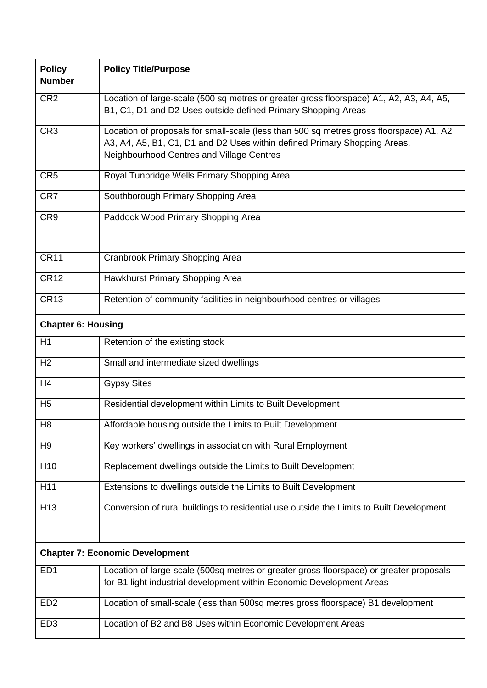| <b>Policy</b><br><b>Number</b>         | <b>Policy Title/Purpose</b>                                                                                                                                                                                        |  |
|----------------------------------------|--------------------------------------------------------------------------------------------------------------------------------------------------------------------------------------------------------------------|--|
| CR <sub>2</sub>                        | Location of large-scale (500 sq metres or greater gross floorspace) A1, A2, A3, A4, A5,<br>B1, C1, D1 and D2 Uses outside defined Primary Shopping Areas                                                           |  |
| CR <sub>3</sub>                        | Location of proposals for small-scale (less than 500 sq metres gross floorspace) A1, A2,<br>A3, A4, A5, B1, C1, D1 and D2 Uses within defined Primary Shopping Areas,<br>Neighbourhood Centres and Village Centres |  |
| CR <sub>5</sub>                        | Royal Tunbridge Wells Primary Shopping Area                                                                                                                                                                        |  |
| CR7                                    | Southborough Primary Shopping Area                                                                                                                                                                                 |  |
| CR <sub>9</sub>                        | Paddock Wood Primary Shopping Area                                                                                                                                                                                 |  |
| <b>CR11</b>                            | Cranbrook Primary Shopping Area                                                                                                                                                                                    |  |
| <b>CR12</b>                            | Hawkhurst Primary Shopping Area                                                                                                                                                                                    |  |
| <b>CR13</b>                            | Retention of community facilities in neighbourhood centres or villages                                                                                                                                             |  |
| <b>Chapter 6: Housing</b>              |                                                                                                                                                                                                                    |  |
| H1                                     | Retention of the existing stock                                                                                                                                                                                    |  |
| H <sub>2</sub>                         | Small and intermediate sized dwellings                                                                                                                                                                             |  |
| H <sub>4</sub>                         | <b>Gypsy Sites</b>                                                                                                                                                                                                 |  |
| H <sub>5</sub>                         | Residential development within Limits to Built Development                                                                                                                                                         |  |
| H <sub>8</sub>                         | Affordable housing outside the Limits to Built Development                                                                                                                                                         |  |
| H <sub>9</sub>                         | Key workers' dwellings in association with Rural Employment                                                                                                                                                        |  |
| H <sub>10</sub>                        | Replacement dwellings outside the Limits to Built Development                                                                                                                                                      |  |
| H11                                    | Extensions to dwellings outside the Limits to Built Development                                                                                                                                                    |  |
| H <sub>13</sub>                        | Conversion of rural buildings to residential use outside the Limits to Built Development                                                                                                                           |  |
| <b>Chapter 7: Economic Development</b> |                                                                                                                                                                                                                    |  |
| ED <sub>1</sub>                        | Location of large-scale (500sq metres or greater gross floorspace) or greater proposals<br>for B1 light industrial development within Economic Development Areas                                                   |  |
| ED <sub>2</sub>                        | Location of small-scale (less than 500sq metres gross floorspace) B1 development                                                                                                                                   |  |
| ED <sub>3</sub>                        | Location of B2 and B8 Uses within Economic Development Areas                                                                                                                                                       |  |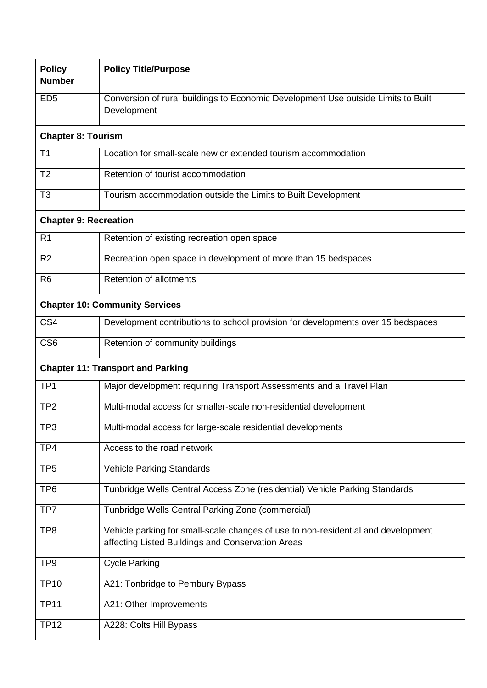| <b>Policy</b><br><b>Number</b>           | <b>Policy Title/Purpose</b>                                                                                                            |  |  |
|------------------------------------------|----------------------------------------------------------------------------------------------------------------------------------------|--|--|
| ED <sub>5</sub>                          | Conversion of rural buildings to Economic Development Use outside Limits to Built<br>Development                                       |  |  |
| <b>Chapter 8: Tourism</b>                |                                                                                                                                        |  |  |
| T <sub>1</sub>                           | Location for small-scale new or extended tourism accommodation                                                                         |  |  |
| T <sub>2</sub>                           | Retention of tourist accommodation                                                                                                     |  |  |
| T <sub>3</sub>                           | Tourism accommodation outside the Limits to Built Development                                                                          |  |  |
| <b>Chapter 9: Recreation</b>             |                                                                                                                                        |  |  |
| R <sub>1</sub>                           | Retention of existing recreation open space                                                                                            |  |  |
| R <sub>2</sub>                           | Recreation open space in development of more than 15 bedspaces                                                                         |  |  |
| R <sub>6</sub>                           | <b>Retention of allotments</b>                                                                                                         |  |  |
| <b>Chapter 10: Community Services</b>    |                                                                                                                                        |  |  |
| CS <sub>4</sub>                          | Development contributions to school provision for developments over 15 bedspaces                                                       |  |  |
| CS <sub>6</sub>                          | Retention of community buildings                                                                                                       |  |  |
| <b>Chapter 11: Transport and Parking</b> |                                                                                                                                        |  |  |
| TP <sub>1</sub>                          | Major development requiring Transport Assessments and a Travel Plan                                                                    |  |  |
| TP <sub>2</sub>                          | Multi-modal access for smaller-scale non-residential development                                                                       |  |  |
| TP3                                      | $\mathbf{r}$ , and $\mathbf{r}$<br>Multi-modal access for large-scale residential developments                                         |  |  |
| TP4                                      | Access to the road network                                                                                                             |  |  |
| TP <sub>5</sub>                          | <b>Vehicle Parking Standards</b>                                                                                                       |  |  |
| TP <sub>6</sub>                          | Tunbridge Wells Central Access Zone (residential) Vehicle Parking Standards                                                            |  |  |
| TP7                                      | Tunbridge Wells Central Parking Zone (commercial)                                                                                      |  |  |
| TP <sub>8</sub>                          | Vehicle parking for small-scale changes of use to non-residential and development<br>affecting Listed Buildings and Conservation Areas |  |  |
| TP <sub>9</sub>                          | <b>Cycle Parking</b>                                                                                                                   |  |  |
| <b>TP10</b>                              | A21: Tonbridge to Pembury Bypass                                                                                                       |  |  |
| <b>TP11</b>                              | A21: Other Improvements                                                                                                                |  |  |
| <b>TP12</b>                              | A228: Colts Hill Bypass                                                                                                                |  |  |